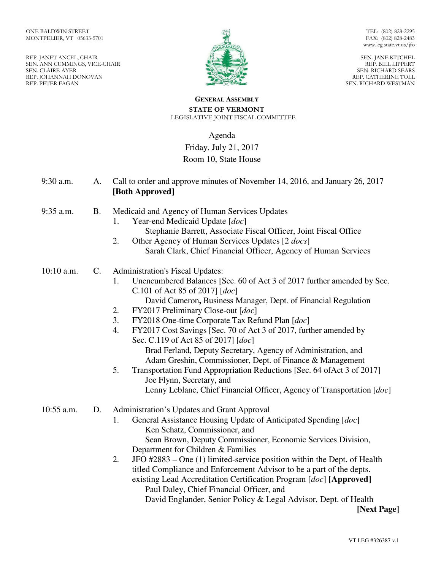REP. JANET ANCEL, CHAIR SEN. ANN CUMMINGS, VICE-CHAIR SEN. CLAIRE AYER REP. JOHANNAH DONOVAN REP. PETER FAGAN



TEL: (802) 828-2295 FAX: (802) 828-2483 www.leg.state.vt.us/jfo

SEN. JANE KITCHEL REP. BILL LIPPERT SEN. RICHARD SEARS REP. CATHERINE TOLL SEN. RICHARD WESTMAN

#### **GENERAL ASSEMBLY STATE OF VERMONT**  LEGISLATIVE JOINT FISCAL COMMITTEE

# Agenda Friday, July 21, 2017 Room 10, State House

| 9:30 a.m.  | A.             | Call to order and approve minutes of November 14, 2016, and January 26, 2017<br>[Both Approved]                                                                                                                                                                                                                                                                                                                                                                                                                                                                                                                                                                                                                                                                             |
|------------|----------------|-----------------------------------------------------------------------------------------------------------------------------------------------------------------------------------------------------------------------------------------------------------------------------------------------------------------------------------------------------------------------------------------------------------------------------------------------------------------------------------------------------------------------------------------------------------------------------------------------------------------------------------------------------------------------------------------------------------------------------------------------------------------------------|
| 9:35 a.m.  | <b>B.</b>      | Medicaid and Agency of Human Services Updates<br>Year-end Medicaid Update [doc]<br>1.<br>Stephanie Barrett, Associate Fiscal Officer, Joint Fiscal Office<br>2.<br>Other Agency of Human Services Updates [2 <i>docs</i> ]<br>Sarah Clark, Chief Financial Officer, Agency of Human Services                                                                                                                                                                                                                                                                                                                                                                                                                                                                                |
| 10:10 a.m. | $\mathbf{C}$ . | <b>Administration's Fiscal Updates:</b><br>Unencumbered Balances [Sec. 60 of Act 3 of 2017 further amended by Sec.<br>1.<br>C.101 of Act 85 of 2017] $[doc]$<br>David Cameron, Business Manager, Dept. of Financial Regulation<br>FY2017 Preliminary Close-out [doc]<br>2.<br>3.<br>FY2018 One-time Corporate Tax Refund Plan [doc]<br>FY2017 Cost Savings [Sec. 70 of Act 3 of 2017, further amended by<br>4.<br>Sec. C.119 of Act 85 of 2017] [doc]<br>Brad Ferland, Deputy Secretary, Agency of Administration, and<br>Adam Greshin, Commissioner, Dept. of Finance & Management<br>5.<br>Transportation Fund Appropriation Reductions [Sec. 64 of Act 3 of 2017]<br>Joe Flynn, Secretary, and<br>Lenny Leblanc, Chief Financial Officer, Agency of Transportation [doc] |
| 10:55 a.m. | D.             | Administration's Updates and Grant Approval<br>General Assistance Housing Update of Anticipated Spending [doc]<br>1.<br>Ken Schatz, Commissioner, and<br>Sean Brown, Deputy Commissioner, Economic Services Division,<br>Department for Children & Families<br>JFO $\#2883$ – One (1) limited-service position within the Dept. of Health<br>2.<br>titled Compliance and Enforcement Advisor to be a part of the depts.<br>existing Lead Accreditation Certification Program [doc] [Approved]<br>Paul Daley, Chief Financial Officer, and<br>David Englander, Senior Policy & Legal Advisor, Dept. of Health                                                                                                                                                                |

**[Next Page]**